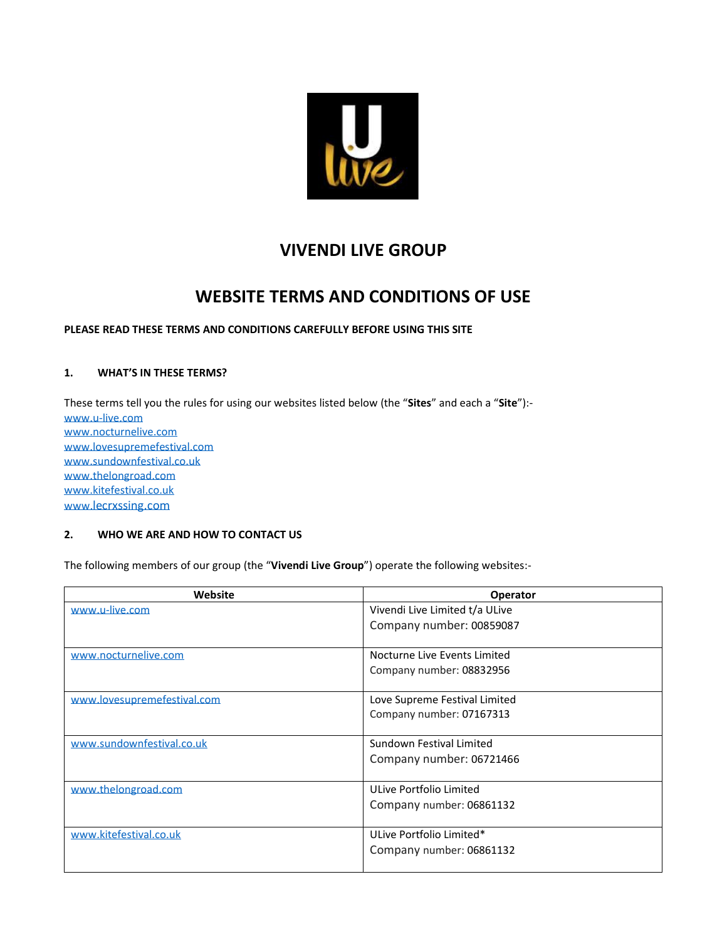

# **VIVENDI LIVE GROUP**

# **WEBSITE TERMS AND CONDITIONS OF USE**

# **PLEASE READ THESE TERMS AND CONDITIONS CAREFULLY BEFORE USING THIS SITE**

## **1. WHAT'S IN THESE TERMS?**

These terms tell you the rules for using our websites listed below (the "**Sites**" and each a "**Site**"): [www.u-live.com](http://www.u-live.com/) [www.nocturnelive.com](http://www.nocturnelive.com/) [www.lovesupremefestival.com](http://www.lovesupremefestival.com/) [www.sundownfestival.co.uk](http://www.sundownfestival.co.uk/) [www.thelongroad.com](http://www.thelongroad.com/) [www.kitefestival.co.uk](http://www.kitefestival.com/) www.[lecrxssing.com](http://www.lecrxssing.com/)

## **2. WHO WE ARE AND HOW TO CONTACT US**

The following members of our group (the "**Vivendi Live Group**") operate the following websites:-

| Website                     | <b>Operator</b>                |
|-----------------------------|--------------------------------|
| www.u-live.com              | Vivendi Live Limited t/a ULive |
|                             | Company number: 00859087       |
| www.nocturnelive.com        | Nocturne Live Events Limited   |
|                             | Company number: 08832956       |
| www.lovesupremefestival.com | Love Supreme Festival Limited  |
|                             | Company number: 07167313       |
| www.sundownfestival.co.uk   | Sundown Festival Limited       |
|                             | Company number: 06721466       |
| www.thelongroad.com         | ULive Portfolio Limited        |
|                             | Company number: 06861132       |
| www.kitefestival.co.uk      | ULive Portfolio Limited*       |
|                             | Company number: 06861132       |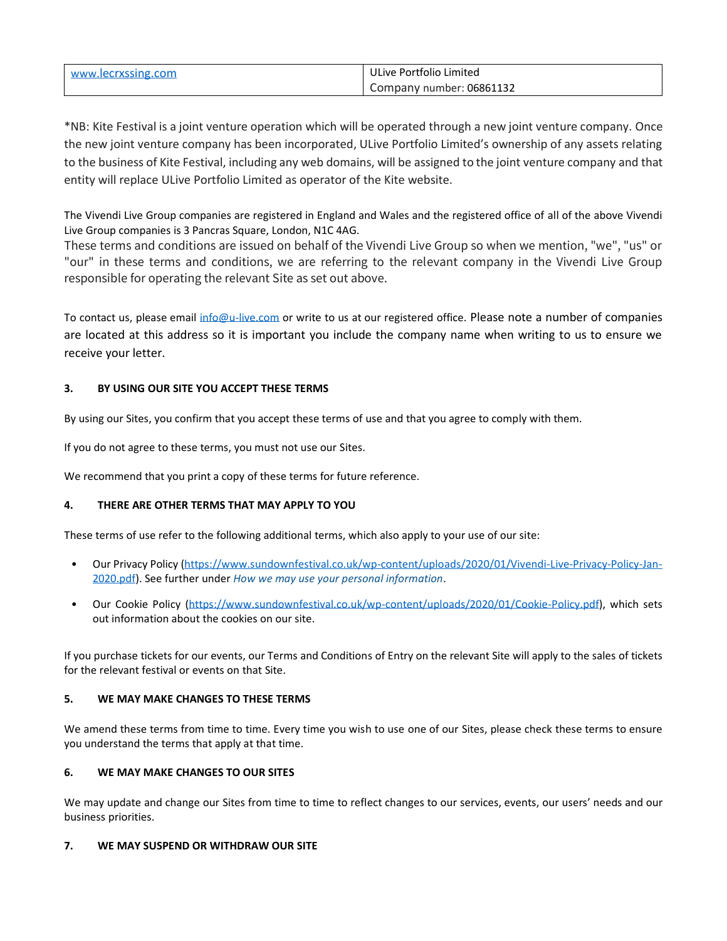| www.lecrxssing.com | ULive Portfolio Limited  |
|--------------------|--------------------------|
|                    | Company number: 06861132 |

\*NB: Kite Festival is a joint venture operation which will be operated through a new joint venture company. Once the new joint venture company has been incorporated, ULive Portfolio Limited's ownership of any assets relating to the business of Kite Festival, including any web domains, will be assigned to the joint venture company and that entity will replace ULive Portfolio Limited as operator of the Kite website.

The Vivendi Live Group companies are registered in England and Wales and the registered office of all of the above Vivendi Live Group companies is 3 Pancras Square, London, N1C 4AG.

These terms and conditions are issued on behalf of the Vivendi Live Group so when we mention, "we", "us" or "our" in these terms and conditions, we are referring to the relevant company in the Vivendi Live Group responsible for operating the relevant Site as set out above.

To contact us, please email [info@u-live.com](mailto:info@u-live.com) or write to us at our registered office. Please note a number of companies are located at this address so it is important you include the company name when writing to us to ensure we receive your letter.

# **3. BY USING OUR SITE YOU ACCEPT THESE TERMS**

By using our Sites, you confirm that you accept these terms of use and that you agree to comply with them.

If you do not agree to these terms, you must not use our Sites.

We recommend that you print a copy of these terms for future reference.

# **4. THERE ARE OTHER TERMS THAT MAY APPLY TO YOU**

These terms of use refer to the following additional terms, which also apply to your use of our site:

- Our Privacy Policy [\(https://www.sundownfestival.co.uk/wp-content/uploads/2020/01/Vivendi-Live-Privacy-Policy-Jan-](https://www.sundownfestival.co.uk/wp-content/uploads/2020/01/Vivendi-Live-Privacy-Policy-Jan-2020.pdf)[2020.pdf\)](https://www.sundownfestival.co.uk/wp-content/uploads/2020/01/Vivendi-Live-Privacy-Policy-Jan-2020.pdf). See further under *[How we may use your personal information](#page-4-0)*.
- Our Cookie Policy [\(https://www.sundownfestival.co.uk/wp-content/uploads/2020/01/Cookie-Policy.pdf\)](https://www.sundownfestival.co.uk/wp-content/uploads/2020/01/Cookie-Policy.pdf), which sets out information about the cookies on our site.

If you purchase tickets for our events, our Terms and Conditions of Entry on the relevant Site will apply to the sales of tickets for the relevant festival or events on that Site.

# **5. WE MAY MAKE CHANGES TO THESE TERMS**

We amend these terms from time to time. Every time you wish to use one of our Sites, please check these terms to ensure you understand the terms that apply at that time.

# **6. WE MAY MAKE CHANGES TO OUR SITES**

We may update and change our Sites from time to time to reflect changes to our services, events, our users' needs and our business priorities.

# **7. WE MAY SUSPEND OR WITHDRAW OUR SITE**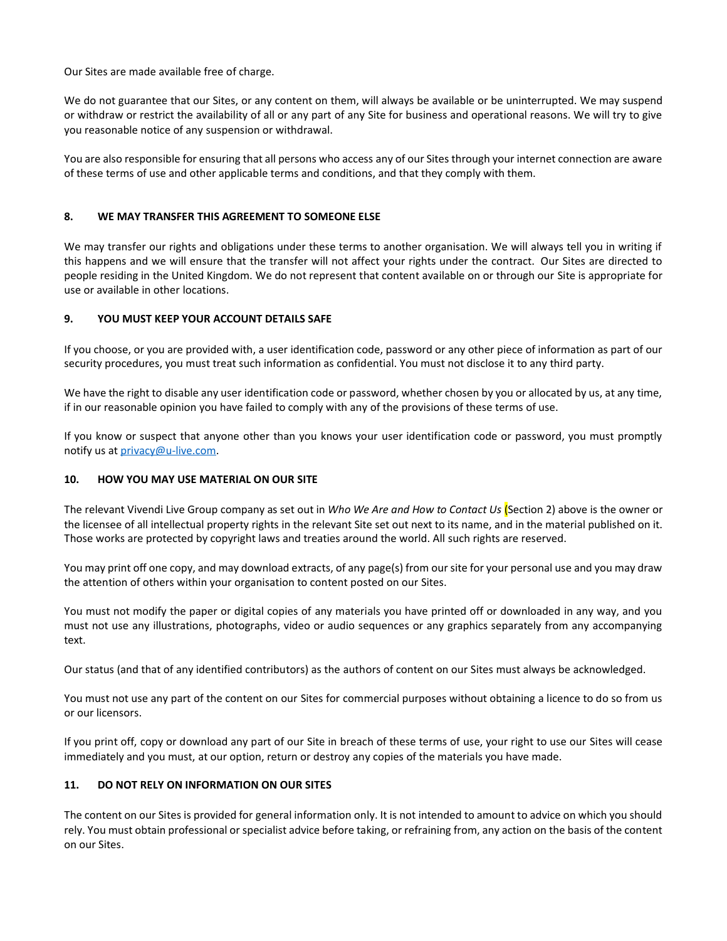Our Sites are made available free of charge.

We do not guarantee that our Sites, or any content on them, will always be available or be uninterrupted. We may suspend or withdraw or restrict the availability of all or any part of any Site for business and operational reasons. We will try to give you reasonable notice of any suspension or withdrawal.

You are also responsible for ensuring that all persons who access any of our Sites through your internet connection are aware of these terms of use and other applicable terms and conditions, and that they comply with them.

#### **8. WE MAY TRANSFER THIS AGREEMENT TO SOMEONE ELSE**

We may transfer our rights and obligations under these terms to another organisation. We will always tell you in writing if this happens and we will ensure that the transfer will not affect your rights under the contract. Our Sites are directed to people residing in the United Kingdom. We do not represent that content available on or through our Site is appropriate for use or available in other locations.

#### **9. YOU MUST KEEP YOUR ACCOUNT DETAILS SAFE**

If you choose, or you are provided with, a user identification code, password or any other piece of information as part of our security procedures, you must treat such information as confidential. You must not disclose it to any third party.

We have the right to disable any user identification code or password, whether chosen by you or allocated by us, at any time, if in our reasonable opinion you have failed to comply with any of the provisions of these terms of use.

If you know or suspect that anyone other than you knows your user identification code or password, you must promptly notify us at [privacy@u-live.com.](mailto:privacy@u-live.com)

#### **10. HOW YOU MAY USE MATERIAL ON OUR SITE**

The relevant Vivendi Live Group company as set out in *Who We Are and How to Contact Us* (Section 2) above is the owner or the licensee of all intellectual property rights in the relevant Site set out next to its name, and in the material published on it. Those works are protected by copyright laws and treaties around the world. All such rights are reserved.

You may print off one copy, and may download extracts, of any page(s) from our site for your personal use and you may draw the attention of others within your organisation to content posted on our Sites.

You must not modify the paper or digital copies of any materials you have printed off or downloaded in any way, and you must not use any illustrations, photographs, video or audio sequences or any graphics separately from any accompanying text.

Our status (and that of any identified contributors) as the authors of content on our Sites must always be acknowledged.

You must not use any part of the content on our Sites for commercial purposes without obtaining a licence to do so from us or our licensors.

If you print off, copy or download any part of our Site in breach of these terms of use, your right to use our Sites will cease immediately and you must, at our option, return or destroy any copies of the materials you have made.

## **11. DO NOT RELY ON INFORMATION ON OUR SITES**

The content on our Sites is provided for general information only. It is not intended to amount to advice on which you should rely. You must obtain professional or specialist advice before taking, or refraining from, any action on the basis of the content on our Sites.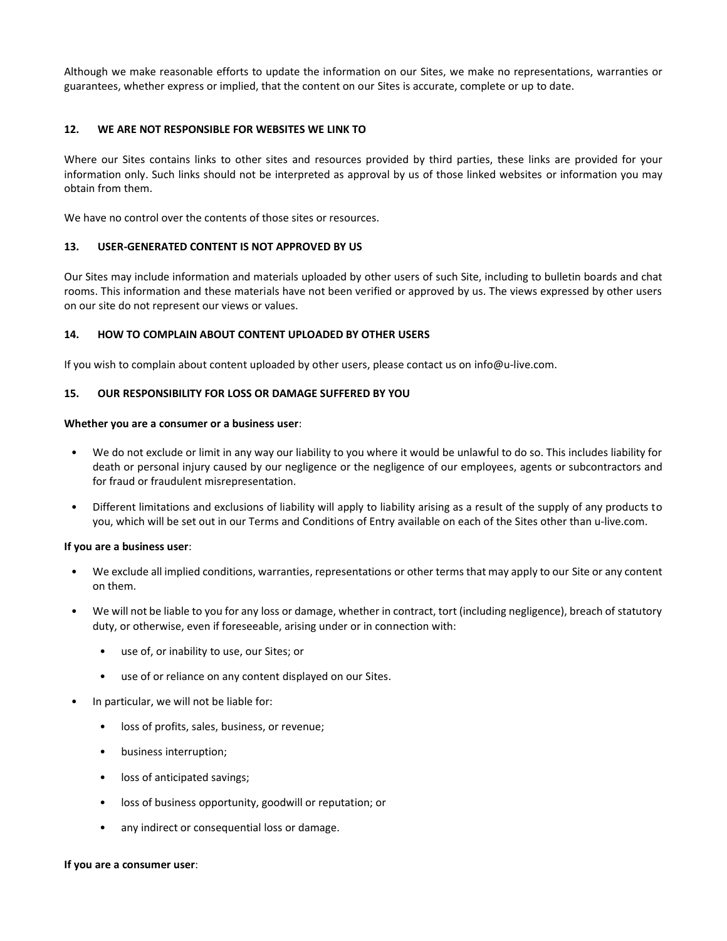Although we make reasonable efforts to update the information on our Sites, we make no representations, warranties or guarantees, whether express or implied, that the content on our Sites is accurate, complete or up to date.

#### **12. WE ARE NOT RESPONSIBLE FOR WEBSITES WE LINK TO**

Where our Sites contains links to other sites and resources provided by third parties, these links are provided for your information only. Such links should not be interpreted as approval by us of those linked websites or information you may obtain from them.

We have no control over the contents of those sites or resources.

#### **13. USER-GENERATED CONTENT IS NOT APPROVED BY US**

Our Sites may include information and materials uploaded by other users of such Site, including to bulletin boards and chat rooms. This information and these materials have not been verified or approved by us. The views expressed by other users on our site do not represent our views or values.

#### **14. HOW TO COMPLAIN ABOUT CONTENT UPLOADED BY OTHER USERS**

If you wish to complain about content uploaded by other users, please contact us on info@u-live.com.

## **15. OUR RESPONSIBILITY FOR LOSS OR DAMAGE SUFFERED BY YOU**

#### **Whether you are a consumer or a business user**:

- We do not exclude or limit in any way our liability to you where it would be unlawful to do so. This includes liability for death or personal injury caused by our negligence or the negligence of our employees, agents or subcontractors and for fraud or fraudulent misrepresentation.
- Different limitations and exclusions of liability will apply to liability arising as a result of the supply of any products to you, which will be set out in our Terms and Conditions of Entry available on each of the Sites other than u-live.com.

#### **If you are a business user**:

- We exclude all implied conditions, warranties, representations or other terms that may apply to our Site or any content on them.
- We will not be liable to you for any loss or damage, whether in contract, tort (including negligence), breach of statutory duty, or otherwise, even if foreseeable, arising under or in connection with:
	- use of, or inability to use, our Sites; or
	- use of or reliance on any content displayed on our Sites.
- In particular, we will not be liable for:
	- loss of profits, sales, business, or revenue;
	- business interruption;
	- loss of anticipated savings;
	- loss of business opportunity, goodwill or reputation; or
	- any indirect or consequential loss or damage.

#### **If you are a consumer user**: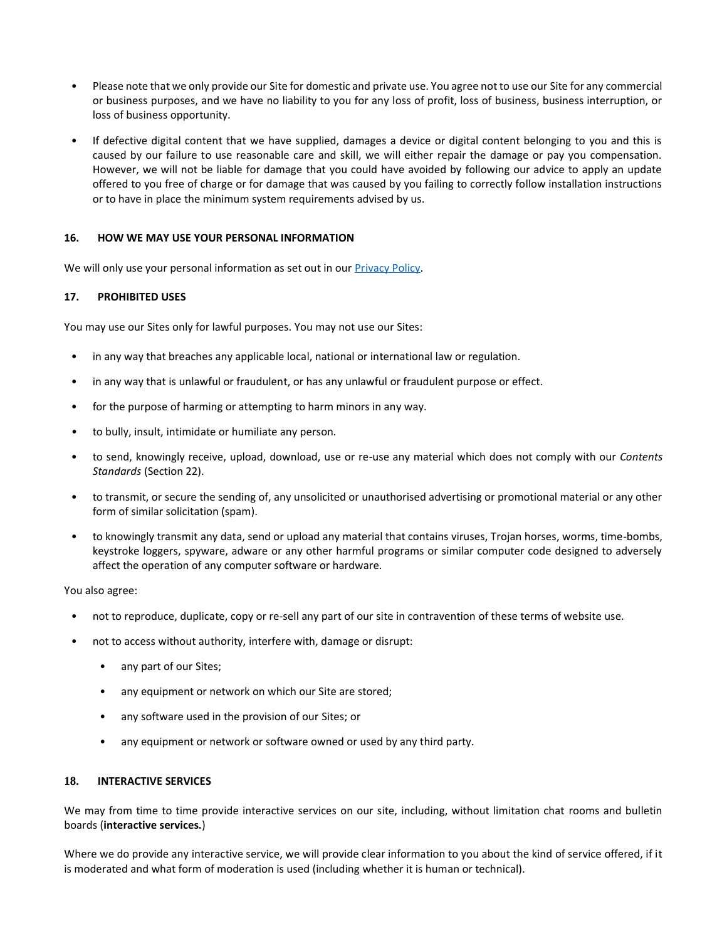- Please note that we only provide our Site for domestic and private use. You agree not to use our Site for any commercial or business purposes, and we have no liability to you for any loss of profit, loss of business, business interruption, or loss of business opportunity.
- If defective digital content that we have supplied, damages a device or digital content belonging to you and this is caused by our failure to use reasonable care and skill, we will either repair the damage or pay you compensation. However, we will not be liable for damage that you could have avoided by following our advice to apply an update offered to you free of charge or for damage that was caused by you failing to correctly follow installation instructions or to have in place the minimum system requirements advised by us.

#### <span id="page-4-0"></span>**16. HOW WE MAY USE YOUR PERSONAL INFORMATION**

We will only use your personal information as set out in our **Privacy Policy**.

#### **17. PROHIBITED USES**

You may use our Sites only for lawful purposes. You may not use our Sites:

- in any way that breaches any applicable local, national or international law or regulation.
- in any way that is unlawful or fraudulent, or has any unlawful or fraudulent purpose or effect.
- for the purpose of harming or attempting to harm minors in any way.
- *•* to bully, insult, intimidate or humiliate any person*.*
- to send, knowingly receive, upload, download, use or re-use any material which does not comply with our *Contents Standards* (Section 22).
- to transmit, or secure the sending of, any unsolicited or unauthorised advertising or promotional material or any other form of similar solicitation (spam).
- to knowingly transmit any data, send or upload any material that contains viruses, Trojan horses, worms, time-bombs, keystroke loggers, spyware, adware or any other harmful programs or similar computer code designed to adversely affect the operation of any computer software or hardware.

You also agree:

- not to reproduce, duplicate, copy or re-sell any part of our site in contravention of these terms of website use.
- not to access without authority, interfere with, damage or disrupt:
	- any part of our Sites;
	- any equipment or network on which our Site are stored;
	- any software used in the provision of our Sites; or
	- any equipment or network or software owned or used by any third party.

#### **18. INTERACTIVE SERVICES**

We may from time to time provide interactive services on our site, including, without limitation chat rooms and bulletin boards (**interactive services.**)

Where we do provide any interactive service, we will provide clear information to you about the kind of service offered, if it is moderated and what form of moderation is used (including whether it is human or technical).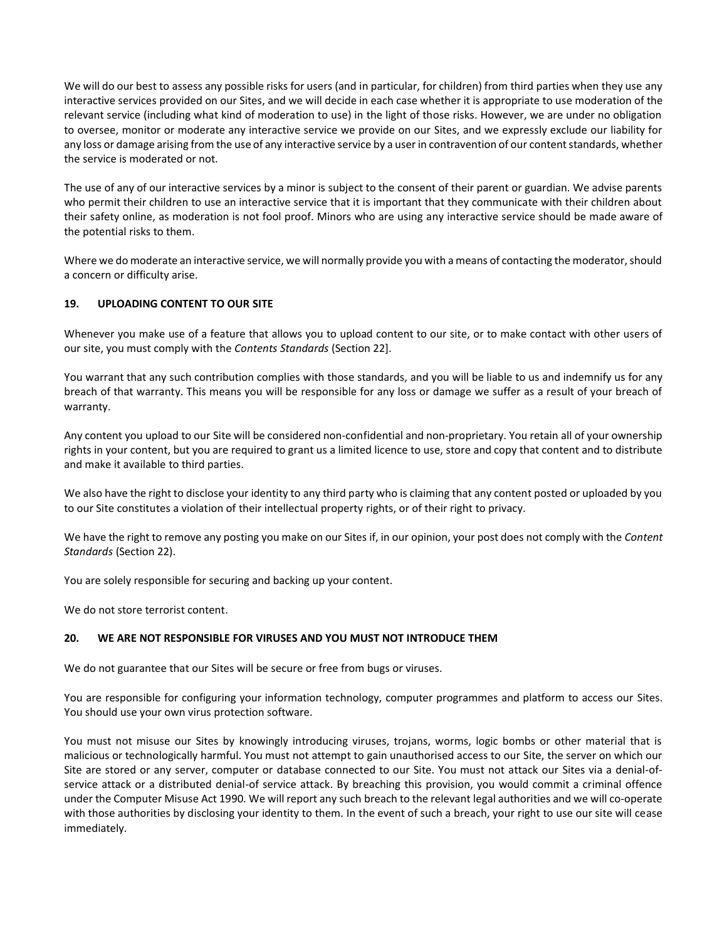We will do our best to assess any possible risks for users (and in particular, for children) from third parties when they use any interactive services provided on our Sites, and we will decide in each case whether it is appropriate to use moderation of the relevant service (including what kind of moderation to use) in the light of those risks. However, we are under no obligation to oversee, monitor or moderate any interactive service we provide on our Sites, and we expressly exclude our liability for any loss or damage arising from the use of any interactive service by a user in contravention of our content standards, whether the service is moderated or not.

The use of any of our interactive services by a minor is subject to the consent of their parent or guardian. We advise parents who permit their children to use an interactive service that it is important that they communicate with their children about their safety online, as moderation is not fool proof. Minors who are using any interactive service should be made aware of the potential risks to them.

Where we do moderate an interactive service, we will normally provide you with a means of contacting the moderator, should a concern or difficulty arise.

## **19. UPLOADING CONTENT TO OUR SITE**

Whenever you make use of a feature that allows you to upload content to our site, or to make contact with other users of our site, you must comply with the *Contents Standards* (Section 22].

You warrant that any such contribution complies with those standards, and you will be liable to us and indemnify us for any breach of that warranty. This means you will be responsible for any loss or damage we suffer as a result of your breach of warranty.

Any content you upload to our Site will be considered non-confidential and non-proprietary. You retain all of your ownership rights in your content, but you are required to grant us a limited licence to use, store and copy that content and to distribute and make it available to third parties.

We also have the right to disclose your identity to any third party who is claiming that any content posted or uploaded by you to our Site constitutes a violation of their intellectual property rights, or of their right to privacy.

We have the right to remove any posting you make on our Sites if, in our opinion, your post does not comply with the *Content Standards* (Section 22).

You are solely responsible for securing and backing up your content.

We do not store terrorist content.

## **20. WE ARE NOT RESPONSIBLE FOR VIRUSES AND YOU MUST NOT INTRODUCE THEM**

We do not guarantee that our Sites will be secure or free from bugs or viruses.

You are responsible for configuring your information technology, computer programmes and platform to access our Sites. You should use your own virus protection software.

You must not misuse our Sites by knowingly introducing viruses, trojans, worms, logic bombs or other material that is malicious or technologically harmful. You must not attempt to gain unauthorised access to our Site, the server on which our Site are stored or any server, computer or database connected to our Site. You must not attack our Sites via a denial-ofservice attack or a distributed denial-of service attack. By breaching this provision, you would commit a criminal offence under the Computer Misuse Act 1990. We will report any such breach to the relevant legal authorities and we will co-operate with those authorities by disclosing your identity to them. In the event of such a breach, your right to use our site will cease immediately.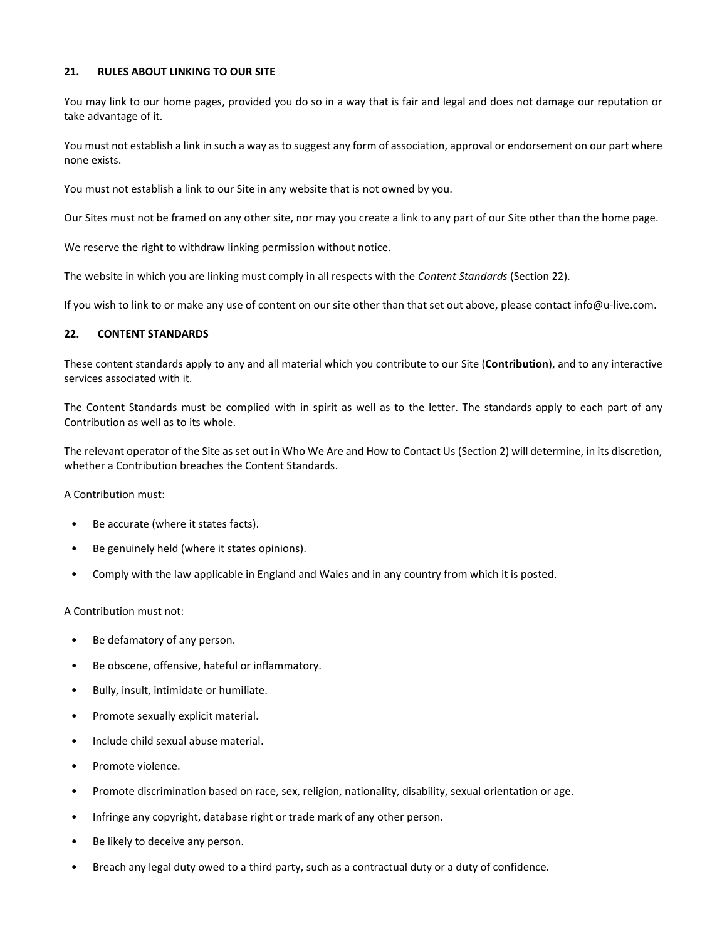#### **21. RULES ABOUT LINKING TO OUR SITE**

You may link to our home pages, provided you do so in a way that is fair and legal and does not damage our reputation or take advantage of it.

You must not establish a link in such a way as to suggest any form of association, approval or endorsement on our part where none exists.

You must not establish a link to our Site in any website that is not owned by you.

Our Sites must not be framed on any other site, nor may you create a link to any part of our Site other than the home page.

We reserve the right to withdraw linking permission without notice.

The website in which you are linking must comply in all respects with the *Content Standards* (Section 22).

If you wish to link to or make any use of content on our site other than that set out above, please contact info@u-live.com.

#### **22. CONTENT STANDARDS**

These content standards apply to any and all material which you contribute to our Site (**Contribution**), and to any interactive services associated with it.

The Content Standards must be complied with in spirit as well as to the letter. The standards apply to each part of any Contribution as well as to its whole.

The relevant operator of the Site as set out in Who We Are and How to Contact Us (Section 2) will determine, in its discretion, whether a Contribution breaches the Content Standards.

A Contribution must:

- Be accurate (where it states facts).
- Be genuinely held (where it states opinions).
- Comply with the law applicable in England and Wales and in any country from which it is posted.

A Contribution must not:

- Be defamatory of any person.
- Be obscene, offensive, hateful or inflammatory.
- Bully, insult, intimidate or humiliate.
- Promote sexually explicit material.
- Include child sexual abuse material.
- Promote violence.
- Promote discrimination based on race, sex, religion, nationality, disability, sexual orientation or age.
- Infringe any copyright, database right or trade mark of any other person.
- Be likely to deceive any person.
- Breach any legal duty owed to a third party, such as a contractual duty or a duty of confidence.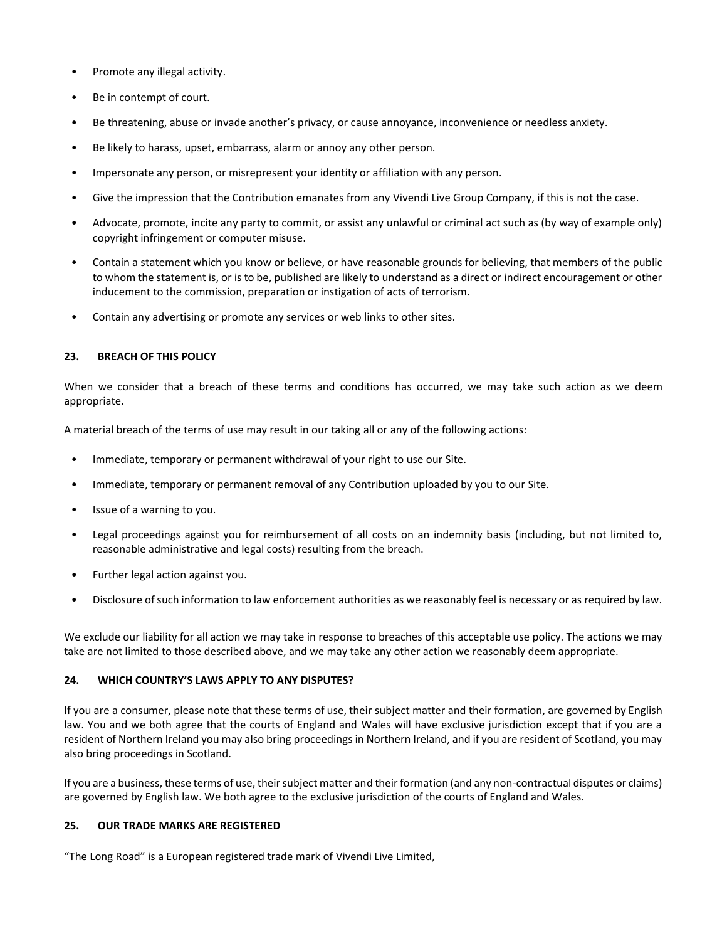- Promote any illegal activity.
- Be in contempt of court.
- Be threatening, abuse or invade another's privacy, or cause annoyance, inconvenience or needless anxiety.
- Be likely to harass, upset, embarrass, alarm or annoy any other person.
- Impersonate any person, or misrepresent your identity or affiliation with any person.
- Give the impression that the Contribution emanates from any Vivendi Live Group Company, if this is not the case.
- Advocate, promote, incite any party to commit, or assist any unlawful or criminal act such as (by way of example only) copyright infringement or computer misuse.
- Contain a statement which you know or believe, or have reasonable grounds for believing, that members of the public to whom the statement is, or is to be, published are likely to understand as a direct or indirect encouragement or other inducement to the commission, preparation or instigation of acts of terrorism.
- Contain any advertising or promote any services or web links to other sites.

## **23. BREACH OF THIS POLICY**

When we consider that a breach of these terms and conditions has occurred, we may take such action as we deem appropriate.

A material breach of the terms of use may result in our taking all or any of the following actions:

- Immediate, temporary or permanent withdrawal of your right to use our Site.
- Immediate, temporary or permanent removal of any Contribution uploaded by you to our Site.
- Issue of a warning to you.
- Legal proceedings against you for reimbursement of all costs on an indemnity basis (including, but not limited to, reasonable administrative and legal costs) resulting from the breach.
- Further legal action against you.
- Disclosure of such information to law enforcement authorities as we reasonably feel is necessary or as required by law.

We exclude our liability for all action we may take in response to breaches of this acceptable use policy. The actions we may take are not limited to those described above, and we may take any other action we reasonably deem appropriate.

## **24. WHICH COUNTRY'S LAWS APPLY TO ANY DISPUTES?**

If you are a consumer, please note that these terms of use, their subject matter and their formation, are governed by English law. You and we both agree that the courts of England and Wales will have exclusive jurisdiction except that if you are a resident of Northern Ireland you may also bring proceedings in Northern Ireland, and if you are resident of Scotland, you may also bring proceedings in Scotland.

If you are a business, these terms of use, their subject matter and their formation (and any non-contractual disputes or claims) are governed by English law. We both agree to the exclusive jurisdiction of the courts of England and Wales.

#### **25. OUR TRADE MARKS ARE REGISTERED**

"The Long Road" is a European registered trade mark of Vivendi Live Limited,